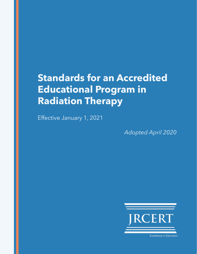# **Standards for an Accredited Educational Program in Radiation Therapy**

Effective January 1, 2021

*Adopted April 2020*



**Excellence in Education**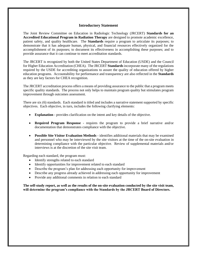#### **Introductory Statement**

The Joint Review Committee on Education in Radiologic Technology (JRCERT) **Standards for an Accredited Educational Program in Radiation Therapy** are designed to promote academic excellence, patient safety, and quality healthcare. The **Standards** require a program to articulate its purposes; to demonstrate that it has adequate human, physical, and financial resources effectively organized for the accomplishment of its purposes; to document its effectiveness in accomplishing these purposes; and to provide assurance that it can continue to meet accreditation standards.

The JRCERT is recognized by both the United States Department of Education (USDE) and the Council for Higher Education Accreditation (CHEA). The JRCERT **Standards** incorporate many of the regulations required by the USDE for accrediting organizations to assure the quality of education offered by higher education programs. Accountability for performance and transparency are also reflected in the **Standards** as they are key factors for CHEA recognition.

The JRCERT accreditation process offers a means of providing assurance to the public that a program meets specific quality standards. The process not only helps to maintain program quality but stimulates program improvement through outcomes assessment.

There are six (6) standards. Each standard is titled and includes a narrative statement supported by specific objectives. Each objective, in turn, includes the following clarifying elements:

- **Explanation** provides clarification on the intent and key details of the objective.
- **Required Program Response**  requires the program to provide a brief narrative and/or documentation that demonstrates compliance with the objective.
- **Possible Site Visitor Evaluation Methods** identifies additional materials that may be examined and personnel who may be interviewed by the site visitors at the time of the on-site evaluation in determining compliance with the particular objective. Review of supplemental materials and/or interviews is at the discretion of the site visit team.

Regarding each standard, the program must:

- Identify strengths related to each standard
- Identify opportunities for improvement related to each standard
- Describe the program's plan for addressing each opportunity for improvement
- Describe any progress already achieved in addressing each opportunity for improvement
- Provide any additional comments in relation to each standard

**The self-study report, as well as the results of the on-site evaluation conducted by the site visit team, will determine the program's compliance with the Standards by the JRCERT Board of Directors.**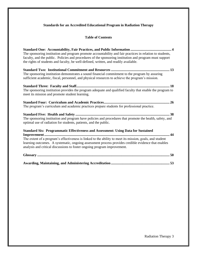# **Standards for an Accredited Educational Program in Radiation Therapy**

# **Table of Contents**

| The sponsoring institution and program promote accountability and fair practices in relation to students,<br>faculty, and the public. Policies and procedures of the sponsoring institution and program must support<br>the rights of students and faculty, be well-defined, written, and readily available.                                                                            |
|-----------------------------------------------------------------------------------------------------------------------------------------------------------------------------------------------------------------------------------------------------------------------------------------------------------------------------------------------------------------------------------------|
| The sponsoring institution demonstrates a sound financial commitment to the program by assuring<br>sufficient academic, fiscal, personnel, and physical resources to achieve the program's mission.                                                                                                                                                                                     |
| The sponsoring institution provides the program adequate and qualified faculty that enable the program to<br>meet its mission and promote student learning.                                                                                                                                                                                                                             |
| The program's curriculum and academic practices prepare students for professional practice.                                                                                                                                                                                                                                                                                             |
| The sponsoring institution and program have policies and procedures that promote the health, safety, and<br>optimal use of radiation for students, patients, and the public.                                                                                                                                                                                                            |
| <b>Standard Six: Programmatic Effectiveness and Assessment: Using Data for Sustained</b><br>The extent of a program's effectiveness is linked to the ability to meet its mission, goals, and student<br>learning outcomes. A systematic, ongoing assessment process provides credible evidence that enables<br>analysis and critical discussions to foster ongoing program improvement. |
|                                                                                                                                                                                                                                                                                                                                                                                         |
|                                                                                                                                                                                                                                                                                                                                                                                         |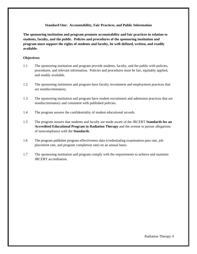#### **Standard One: Accountability, Fair Practices, and Public Information**

**The sponsoring institution and program promote accountability and fair practices in relation to students, faculty, and the public. Policies and procedures of the sponsoring institution and program must support the rights of students and faculty, be well-defined, written, and readily available.** 

#### **Objectives:**

- 1.1 The sponsoring institution and program provide students, faculty, and the public with policies, procedures, and relevant information. Policies and procedures must be fair, equitably applied, and readily available.
- 1.2 The sponsoring institution and program have faculty recruitment and employment practices that are nondiscriminatory.
- 1.3 The sponsoring institution and program have student recruitment and admission practices that are nondiscriminatory and consistent with published policies.
- 1.4 The program assures the confidentiality of student educational records.
- 1.5 The program assures that students and faculty are made aware of the JRCERT **Standards for an Accredited Educational Program in Radiation Therapy** and the avenue to pursue allegations of noncompliance with the **Standards**.
- 1.6 The program publishes program effectiveness data (credentialing examination pass rate, job placement rate, and program completion rate) on an annual basis.
- 1.7 The sponsoring institution and program comply with the requirements to achieve and maintain JRCERT accreditation.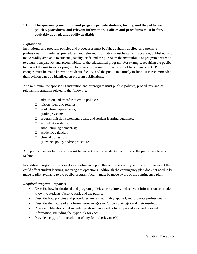**1.1 The sponsoring institution and program provide students, faculty, and the public with policies, procedures, and relevant information. Policies and procedures must be fair, equitably applied, and readily available.** 

# *Explanation:*

Institutional and program policies and procedures must be fair, equitably applied, and promote professionalism. Policies, procedures, and relevant information must be current, accurate, published, and made readily available to students, faculty, staff, and the public on the institution's or program's website to assure transparency and accountability of the educational program. For example, requiring the public to contact the institution or program to request program information is not fully transparent. Policy changes must be made known to students, faculty, and the public in a timely fashion. It is recommended that revision dates be identified on program publications.

At a minimum, the sponsoring institution and/or program must publish policies, procedures, and/or relevant information related to the following:

- $\Box$  admission and transfer of credit policies;
- $\Box$  tuition, fees, and refunds;
- $\Box$  graduation requirements;
- $\Box$  grading system;
- $\Box$  program mission statement, goals, and student learning outcomes;
- □ accreditation status;
- $\Box$  articulation agreement(s);
- □ academic calendar;
- $\Box$  clinical obligations;
- $\Box$  grievance policy and/or procedures.

Any policy changes to the above must be made known to students, faculty, and the public in a timely fashion.

In addition, programs must develop a contingency plan that addresses any type of catastrophic event that could affect student learning and program operations. Although the contingency plan does not need to be made readily available to the public, program faculty must be made aware of the contingency plan.

# *Required Program Response:*

- Describe how institutional and program policies, procedures, and relevant information are made known to students, faculty, staff, and the public.
- Describe how policies and procedures are fair, equitably applied, and promote professionalism.
- Describe the nature of any formal grievance(s) and/or complaints(s) and their resolution.
- Provide publications that include the aforementioned policies, procedures, and relevant information, including the hyperlink for each.
- Provide a copy of the resolution of any formal grievance(s).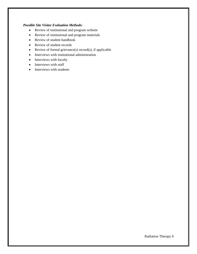## *Possible Site Visitor Evaluation Methods:*

- Review of institutional and program website
- Review of institutional and program materials
- Review of student handbook
- Review of student records
- Review of formal grievance(s) record(s), if applicable
- Interviews with institutional administration
- Interviews with faculty
- Interviews with staff
- Interviews with students

Radiation Therapy 6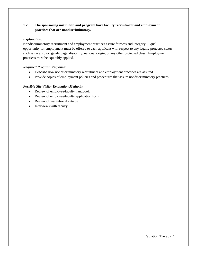# **1.2 The sponsoring institution and program have faculty recruitment and employment practices that are nondiscriminatory.**

## *Explanation:*

Nondiscriminatory recruitment and employment practices assure fairness and integrity. Equal opportunity for employment must be offered to each applicant with respect to any legally protected status such as race, color, gender, age, disability, national origin, or any other protected class. Employment practices must be equitably applied.

# *Required Program Response:*

- Describe how nondiscriminatory recruitment and employment practices are assured.
- Provide copies of employment policies and procedures that assure nondiscriminatory practices.

- Review of employee/faculty handbook
- Review of employee/faculty application form
- Review of institutional catalog
- Interviews with faculty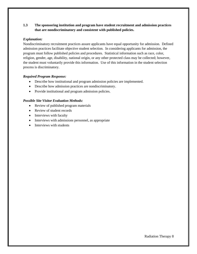# **1.3 The sponsoring institution and program have student recruitment and admission practices that are nondiscriminatory and consistent with published policies.**

## *Explanation:*

Nondiscriminatory recruitment practices assure applicants have equal opportunity for admission. Defined admission practices facilitate objective student selection. In considering applicants for admission, the program must follow published policies and procedures. Statistical information such as race, color, religion, gender, age, disability, national origin, or any other protected class may be collected; however, the student must voluntarily provide this information. Use of this information in the student selection process is discriminatory.

#### *Required Program Response:*

- Describe how institutional and program admission policies are implemented.
- Describe how admission practices are nondiscriminatory.
- Provide institutional and program admission policies.

- Review of published program materials
- Review of student records
- Interviews with faculty
- Interviews with admissions personnel, as appropriate
- Interviews with students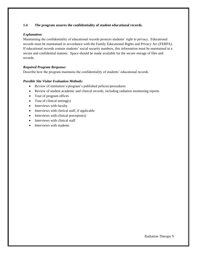## **1.4 The program assures the confidentiality of student educational records.**

## *Explanation:*

Maintaining the confidentiality of educational records protects students' right to privacy. Educational records must be maintained in accordance with the Family Educational Rights and Privacy Act (FERPA). If educational records contain students' social security numbers, this information must be maintained in a secure and confidential manner. Space should be made available for the secure storage of files and records.

## *Required Program Response:*

Describe how the program maintains the confidentiality of students' educational records.

- Review of institution's/program's published policies/procedures
- Review of student academic and clinical records, including radiation monitoring reports
- Tour of program offices
- Tour of clinical setting(s)
- Interviews with faculty
- Interviews with clerical staff, if applicable
- Interviews with clinical preceptor(s)
- Interviews with clinical staff
- Interviews with students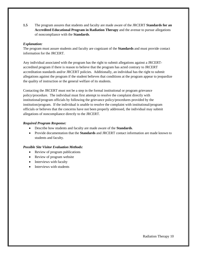**1.5** The program assures that students and faculty are made aware of the JRCERT **Standards for an Accredited Educational Program in Radiation Therapy** and the avenue to pursue allegations of noncompliance with the **Standards**.

## *Explanation:*

The program must assure students and faculty are cognizant of the **Standards** and must provide contact information for the JRCERT.

Any individual associated with the program has the right to submit allegations against a JRCERTaccredited program if there is reason to believe that the program has acted contrary to JRCERT accreditation standards and/or JRCERT policies. Additionally, an individual has the right to submit allegations against the program if the student believes that conditions at the program appear to jeopardize the quality of instruction or the general welfare of its students.

Contacting the JRCERT must not be a step in the formal institutional or program grievance policy/procedure. The individual must first attempt to resolve the complaint directly with institutional/program officials by following the grievance policy/procedures provided by the institution/program. If the individual is unable to resolve the complaint with institutional/program officials or believes that the concerns have not been properly addressed, the individual may submit allegations of noncompliance directly to the JRCERT.

## *Required Program Response:*

- Describe how students and faculty are made aware of the **Standards**.
- Provide documentation that the **Standards** and JRCERT contact information are made known to students and faculty.

- Review of program publications
- Review of program website
- Interviews with faculty
- Interviews with students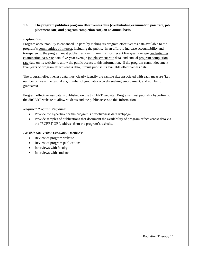# **1.6 The program publishes program effectiveness data (credentialing examination pass rate, job placement rate, and program completion rate) on an annual basis.**

## *Explanation:*

Program accountability is enhanced, in part, by making its program effectiveness data available to the program's communities of interest, including the public. In an effort to increase accountability and transparency, the program must publish, at a minimum, its most recent five-year average credentialing examination pass rate data, five-year average job placement rate data, and annual program completion rate data on its website to allow the public access to this information. If the program cannot document five years of program effectiveness data, it must publish its available effectiveness data.

The program effectiveness data must clearly identify the sample size associated with each measure (i.e., number of first-time test takers, number of graduates actively seeking employment, and number of graduates).

Program effectiveness data is published on the JRCERT website. Programs must publish a hyperlink to the JRCERT website to allow students and the public access to this information.

## *Required Program Response:*

- Provide the hyperlink for the program's effectiveness data webpage.
- Provide samples of publications that document the availability of program effectiveness data via the JRCERT URL address from the program's website.

- Review of program website
- Review of program publications
- Interviews with faculty
- Interviews with students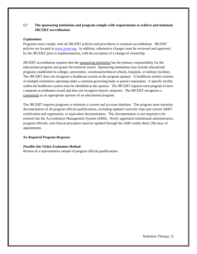# **1.7 The sponsoring institution and program comply with requirements to achieve and maintain JRCERT accreditation.**

#### *Explanation:*

Programs must comply with all JRCERT policies and procedures to maintain accreditation. JRCERT policies are located at [www.jrcert.org.](http://www.jrcert.org/) In addition, substantive changes must be reviewed and approved by the JRCERT prior to implementation, with the exception of a change of ownership.

JRCERT accreditation requires that the sponsoring institution has the primary responsibility for the educational program and grants the terminal award. Sponsoring institutions may include educational programs established in colleges, universities, vocational/technical schools, hospitals, or military facilities. The JRCERT does not recognize a healthcare system as the program sponsor. A healthcare system consists of multiple institutions operating under a common governing body or parent corporation. A specific facility within the healthcare system must be identified as the sponsor. The JRCERT requires each program to have a separate accreditation award and does not recognize branch campuses. The JRCERT recognizes a consortium as an appropriate sponsor of an educational program.

The JRCERT requires programs to maintain a current and accurate database. The program must maintain documentation of all program official qualifications, including updated curricula vitae and current ARRT certification and registration, or equivalent documentation. This documentation is not required to be entered into the Accreditation Management System (AMS). Newly appointed institutional administrators, program officials, and clinical preceptors must be updated through the AMS within thirty (30) days of appointment.

# *No Required Program Response*

# *Possible Site Visitor Evaluation Method:*

Review of a representative sample of program official qualifications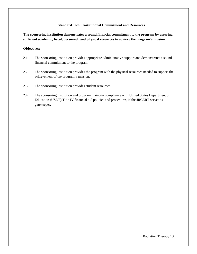#### **Standard Two: Institutional Commitment and Resources**

**The sponsoring institution demonstrates a sound financial commitment to the program by assuring sufficient academic, fiscal, personnel, and physical resources to achieve the program's mission.**

#### **Objectives:**

- 2.1 The sponsoring institution provides appropriate administrative support and demonstrates a sound financial commitment to the program.
- 2.2 The sponsoring institution provides the program with the physical resources needed to support the achievement of the program's mission.
- 2.3 The sponsoring institution provides student resources.
- 2.4 The sponsoring institution and program maintain compliance with United States Department of Education (USDE) Title IV financial aid policies and procedures, if the JRCERT serves as gatekeeper.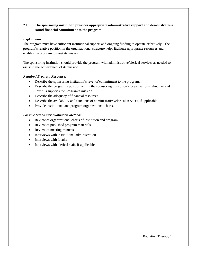# **2.1 The sponsoring institution provides appropriate administrative support and demonstrates a sound financial commitment to the program.**

## *Explanation:*

The program must have sufficient institutional support and ongoing funding to operate effectively. The program's relative position in the organizational structure helps facilitate appropriate resources and enables the program to meet its mission.

The sponsoring institution should provide the program with administrative/clerical services as needed to assist in the achievement of its mission.

## *Required Program Response:*

- Describe the sponsoring institution's level of commitment to the program.
- Describe the program's position within the sponsoring institution's organizational structure and how this supports the program's mission.
- Describe the adequacy of financial resources.
- Describe the availability and functions of administrative/clerical services, if applicable.
- Provide institutional and program organizational charts.

- Review of organizational charts of institution and program
- Review of published program materials
- Review of meeting minutes
- Interviews with institutional administration
- Interviews with faculty
- Interviews with clerical staff, if applicable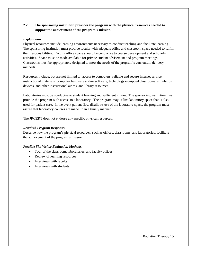# **2.2 The sponsoring institution provides the program with the physical resources needed to support the achievement of the program's mission.**

## *Explanation:*

Physical resources include learning environments necessary to conduct teaching and facilitate learning. The sponsoring institution must provide faculty with adequate office and classroom space needed to fulfill their responsibilities. Faculty office space should be conducive to course development and scholarly activities. Space must be made available for private student advisement and program meetings. Classrooms must be appropriately designed to meet the needs of the program's curriculum delivery methods.

Resources include, but are not limited to, access to computers, reliable and secure Internet service, instructional materials (computer hardware and/or software, technology-equipped classrooms, simulation devices, and other instructional aides), and library resources.

Laboratories must be conducive to student learning and sufficient in size. The sponsoring institution must provide the program with access to a laboratory. The program may utilize laboratory space that is also used for patient care. In the event patient flow disallows use of the laboratory space, the program must assure that laboratory courses are made up in a timely manner.

The JRCERT does not endorse any specific physical resources.

## *Required Program Response:*

Describe how the program's physical resources, such as offices, classrooms, and laboratories, facilitate the achievement of the program's mission.

- Tour of the classroom, laboratories, and faculty offices
- Review of learning resources
- Interviews with faculty
- Interviews with students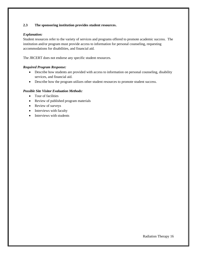# **2.3 The sponsoring institution provides student resources.**

## *Explanation:*

Student resources refer to the variety of services and programs offered to promote academic success. The institution and/or program must provide access to information for personal counseling, requesting accommodations for disabilities, and financial aid.

The JRCERT does not endorse any specific student resources.

## *Required Program Response:*

- Describe how students are provided with access to information on personal counseling, disability services, and financial aid.
- Describe how the program utilizes other student resources to promote student success.

- Tour of facilities
- Review of published program materials
- Review of surveys
- Interviews with faculty
- Interviews with students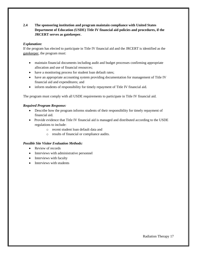# **2.4 The sponsoring institution and program maintain compliance with United States Department of Education (USDE) Title IV financial aid policies and procedures, if the JRCERT serves as gatekeeper.**

# *Explanation:*

If the program has elected to participate in Title IV financial aid and the JRCERT is identified as the gatekeeper, the program must:

- maintain financial documents including audit and budget processes confirming appropriate allocation and use of financial resources;
- have a monitoring process for student loan default rates;
- have an appropriate accounting system providing documentation for management of Title IV financial aid and expenditures; and
- inform students of responsibility for timely repayment of Title IV financial aid.

The program must comply with all USDE requirements to participate in Title IV financial aid.

## *Required Program Response:*

- Describe how the program informs students of their responsibility for timely repayment of financial aid.
- Provide evidence that Title IV financial aid is managed and distributed according to the USDE regulations to include:
	- o recent student loan default data and
	- o results of financial or compliance audits.

- Review of records
- Interviews with administrative personnel
- Interviews with faculty
- Interviews with students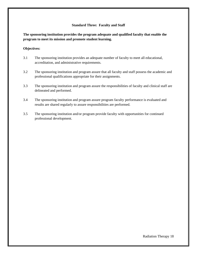#### **Standard Three: Faculty and Staff**

**The sponsoring institution provides the program adequate and qualified faculty that enable the program to meet its mission and promote student learning.**

#### **Objectives:**

- 3.1 The sponsoring institution provides an adequate number of faculty to meet all educational, accreditation, and administrative requirements.
- 3.2 The sponsoring institution and program assure that all faculty and staff possess the academic and professional qualifications appropriate for their assignments.
- 3.3 The sponsoring institution and program assure the responsibilities of faculty and clinical staff are delineated and performed.
- 3.4 The sponsoring institution and program assure program faculty performance is evaluated and results are shared regularly to assure responsibilities are performed.
- 3.5 The sponsoring institution and/or program provide faculty with opportunities for continued professional development.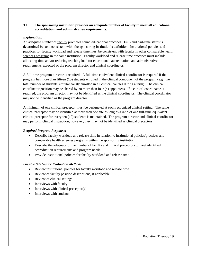## **3.1 The sponsoring institution provides an adequate number of faculty to meet all educational, accreditation, and administrative requirements.**

## *Explanation:*

An adequate number of faculty promotes sound educational practices. Full- and part-time status is determined by, and consistent with, the sponsoring institution's definition. Institutional policies and practices for faculty workload and release time must be consistent with faculty in other comparable health sciences programs in the same institution. Faculty workload and release time practices must include allocating time and/or reducing teaching load for educational, accreditation, and administrative requirements expected of the program director and clinical coordinator.

A full-time program director is required. A full-time equivalent clinical coordinator is required if the program has more than fifteen (15) students enrolled in the clinical component of the program (e.g., the total number of students simultaneously enrolled in all clinical courses during a term). The clinical coordinator position may be shared by no more than four (4) appointees. If a clinical coordinator is required, the program director may not be identified as the clinical coordinator. The clinical coordinator may not be identified as the program director.

A minimum of one clinical preceptor must be designated at each recognized clinical setting. The same clinical preceptor may be identified at more than one site as long as a ratio of one full-time equivalent clinical preceptor for every ten (10) students is maintained. The program director and clinical coordinator may perform clinical instruction; however, they may not be identified as clinical preceptors.

#### *Required Program Response:*

- Describe faculty workload and release time in relation to institutional policies/practices and comparable health sciences programs within the sponsoring institution.
- Describe the adequacy of the number of faculty and clinical preceptors to meet identified accreditation requirements and program needs.
- Provide institutional policies for faculty workload and release time.

- Review institutional policies for faculty workload and release time
- Review of faculty position descriptions, if applicable
- Review of clinical settings
- Interviews with faculty
- Interviews with clinical preceptor(s)
- Interviews with students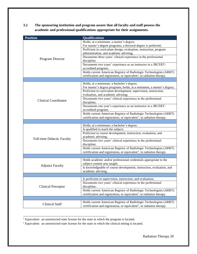**3.2 The sponsoring institution and program assure that all faculty and staff possess the academic and professional qualifications appropriate for their assignments.** 

| <b>Position</b>                   | <b>Qualifications</b>                                                                                                      |
|-----------------------------------|----------------------------------------------------------------------------------------------------------------------------|
|                                   | Holds, at a minimum, a master's degree;                                                                                    |
|                                   | For master's degree programs, a doctoral degree is preferred;                                                              |
|                                   | Proficient in curriculum design, evaluation, instruction, program                                                          |
|                                   | administration, and academic advising;                                                                                     |
|                                   | Documents three years' clinical experience in the professional                                                             |
| Program Director                  | discipline;                                                                                                                |
|                                   | Documents two years' experience as an instructor in a JRCERT-                                                              |
|                                   | accredited program;                                                                                                        |
|                                   | Holds current American Registry of Radiologic Technologists (ARRT)                                                         |
|                                   | certification and registration, or equivalent <sup>1</sup> , in radiation therapy.                                         |
|                                   |                                                                                                                            |
|                                   | Holds, at a minimum, a bachelor's degree;                                                                                  |
|                                   | For master's degree programs, holds, at a minimum, a master's degree;                                                      |
|                                   | Proficient in curriculum development, supervision, instruction,                                                            |
|                                   | evaluation, and academic advising;<br>Documents two years' clinical experience in the professional                         |
| <b>Clinical Coordinator</b>       | discipline;                                                                                                                |
|                                   | Documents one year's experience as an instructor in a JRCERT-                                                              |
|                                   | accredited program;                                                                                                        |
|                                   | Holds current American Registry of Radiologic Technologists (ARRT)                                                         |
|                                   | certification and registration, or equivalent <sup>1</sup> , in radiation therapy.                                         |
|                                   |                                                                                                                            |
|                                   | Holds, at a minimum, a bachelor's degree;                                                                                  |
|                                   | Is qualified to teach the subject;                                                                                         |
|                                   | Proficient in course development, instruction, evaluation, and                                                             |
|                                   | academic advising;                                                                                                         |
| <b>Full-time Didactic Faculty</b> | Documents two years' clinical experience in the professional                                                               |
|                                   | discipline;                                                                                                                |
|                                   | Holds current American Registry of Radiologic Technologists (ARRT)                                                         |
|                                   | certification and registration, or equivalent <sup>1</sup> , in radiation therapy.                                         |
|                                   |                                                                                                                            |
| <b>Adjunct Faculty</b>            | Holds academic and/or professional credentials appropriate to the                                                          |
|                                   | subject content area taught;                                                                                               |
|                                   | Is knowledgeable of course development, instruction, evaluation, and                                                       |
|                                   | academic advising.                                                                                                         |
|                                   |                                                                                                                            |
|                                   | Is proficient in supervision, instruction, and evaluation;<br>Documents two years' clinical experience in the professional |
| <b>Clinical Preceptor</b>         | discipline;                                                                                                                |
|                                   | Holds current American Registry of Radiologic Technologists (ARRT)                                                         |
|                                   | certification and registration, or equivalent <sup>2</sup> , in radiation therapy.                                         |
|                                   |                                                                                                                            |
|                                   | Holds current American Registry of Radiologic Technologists (ARRT)                                                         |
| <b>Clinical Staff</b>             | certification and registration, or equivalent <sup>2</sup> , in radiation therapy.                                         |
|                                   |                                                                                                                            |

<sup>1</sup> Equivalent: an unrestricted state license for the state in which the program is located.

\_\_\_\_\_\_\_\_\_\_\_\_\_\_\_\_\_\_\_\_\_\_\_\_\_\_\_\_\_\_\_\_\_\_\_\_\_\_\_\_\_\_\_\_\_\_\_

<sup>2</sup> Equivalent: an unrestricted state license for the state in which the clinical setting is located.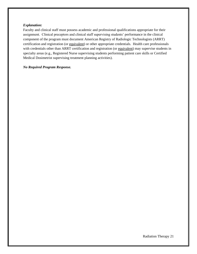#### *Explanation:*

Faculty and clinical staff must possess academic and professional qualifications appropriate for their assignment. Clinical preceptors and clinical staff supervising students' performance in the clinical component of the program must document American Registry of Radiologic Technologists (ARRT) certification and registration (or equivalent) or other appropriate credentials. Health care professionals with credentials other than ARRT certification and registration (or equivalent) may supervise students in specialty areas (e.g., Registered Nurse supervising students performing patient care skills or Certified Medical Dosimetrist supervising treatment planning activities).

#### *No Required Program Response.*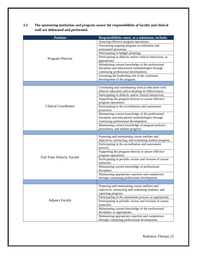| 3.3 | The sponsoring institution and program assure the responsibilities of faculty and clinical |
|-----|--------------------------------------------------------------------------------------------|
|     | staff are delineated and performed.                                                        |

| <b>Position</b>             | Responsibilities must, at a minimum, include:                                  |
|-----------------------------|--------------------------------------------------------------------------------|
|                             | Assuring effective program operations;                                         |
|                             | Overseeing ongoing program accreditation and                                   |
|                             | assessment processes;                                                          |
|                             | Participating in budget planning;                                              |
| Program Director            | Participating in didactic and/or clinical instruction, as                      |
|                             | appropriate;                                                                   |
|                             | Maintaining current knowledge of the professional                              |
|                             | discipline and educational methodologies through                               |
|                             | continuing professional development;                                           |
|                             | Assuming the leadership role in the continued                                  |
|                             | development of the program.                                                    |
|                             |                                                                                |
|                             | Correlating and coordinating clinical education with                           |
|                             | didactic education and evaluating its effectiveness;                           |
|                             | Participating in didactic and/or clinical instruction;                         |
|                             | Supporting the program director to assure effective                            |
|                             | program operations;                                                            |
| <b>Clinical Coordinator</b> | Participating in the accreditation and assessment                              |
|                             | processes;                                                                     |
|                             | Maintaining current knowledge of the professional                              |
|                             | discipline and educational methodologies through                               |
|                             | continuing professional development;                                           |
|                             | Maintaining current knowledge of program policies,                             |
|                             | procedures, and student progress.                                              |
|                             |                                                                                |
|                             | Preparing and maintaining course outlines and                                  |
|                             | objectives, instructing, and evaluating student progress;                      |
|                             | Participating in the accreditation and assessment                              |
|                             | process;                                                                       |
|                             | Supporting the program director to assure effective                            |
| Full-Time Didactic Faculty  | program operations;<br>Participating in periodic review and revision of course |
|                             | materials;                                                                     |
|                             | Maintaining current knowledge of professional                                  |
|                             | discipline;                                                                    |
|                             | Maintaining appropriate expertise and competence                               |
|                             | through continuing professional development.                                   |
|                             |                                                                                |
|                             | Preparing and maintaining course outlines and                                  |
|                             | objectives, instructing and evaluating students, and                           |
|                             | reporting progress;                                                            |
|                             | Participating in the assessment process, as appropriate;                       |
| <b>Adjunct Faculty</b>      | Participating in periodic review and revision of course                        |
|                             | materials;                                                                     |
|                             | Maintaining current knowledge of the professional                              |
|                             | discipline, as appropriate;                                                    |
|                             | Maintaining appropriate expertise and competence                               |
|                             | through continuing professional development.                                   |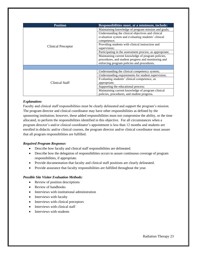| <b>Position</b>    | Responsibilities must, at a minimum, include:            |
|--------------------|----------------------------------------------------------|
| Clinical Preceptor | Maintaining knowledge of program mission and goals;      |
|                    | Understanding the clinical objectives and clinical       |
|                    | evaluation system and evaluating students' clinical      |
|                    | competence;                                              |
|                    | Providing students with clinical instruction and         |
|                    | supervision;                                             |
|                    | Participating in the assessment process, as appropriate; |
|                    | Maintaining current knowledge of program policies,       |
|                    | procedures, and student progress and monitoring and      |
|                    | enforcing program policies and procedures.               |
|                    |                                                          |
|                    | Understanding the clinical competency system;            |
|                    | Understanding requirements for student supervision;      |
|                    | Evaluating students' clinical competence, as             |
| Clinical Staff     | appropriate;                                             |
|                    | Supporting the educational process;                      |
|                    | Maintaining current knowledge of program clinical        |
|                    | policies, procedures, and student progress.              |

## *Explanation:*

Faculty and clinical staff responsibilities must be clearly delineated and support the program's mission. The program director and clinical coordinator may have other responsibilities as defined by the sponsoring institution; however, these added responsibilities must not compromise the ability, or the time allocated, to perform the responsibilities identified in this objective. For all circumstances when a program director's and/or clinical coordinator's appointment is less than 12 months and students are enrolled in didactic and/or clinical courses, the program director and/or clinical coordinator must assure that all program responsibilities are fulfilled.

# *Required Program Response:*

- Describe how faculty and clinical staff responsibilities are delineated.
- Describe how the delegation of responsibilities occurs to assure continuous coverage of program responsibilities, if appropriate.
- Provide documentation that faculty and clinical staff positions are clearly delineated.
- Provide assurance that faculty responsibilities are fulfilled throughout the year.

- Review of position descriptions
- Review of handbooks
- Interviews with institutional administration
- Interviews with faculty
- Interviews with clinical preceptors
- Interviews with clinical staff
- Interviews with students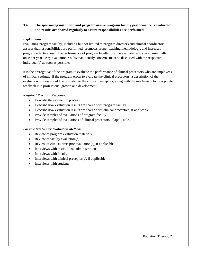# **3.4 The sponsoring institution and program assure program faculty performance is evaluated and results are shared regularly to assure responsibilities are performed.**

## *Explanation:*

Evaluating program faculty, including but not limited to program directors and clinical coordinators, assures that responsibilities are performed, promotes proper teaching methodology, and increases program effectiveness. The performance of program faculty must be evaluated and shared minimally once per year. Any evaluation results that identify concerns must be discussed with the respective individual(s) as soon as possible.

It is the prerogative of the program to evaluate the performance of clinical preceptors who are employees of clinical settings. If the program elects to evaluate the clinical preceptors, a description of the evaluation process should be provided to the clinical preceptors, along with the mechanism to incorporate feedback into professional growth and development.

## *Required Program Response:*

- Describe the evaluation process.
- Describe how evaluation results are shared with program faculty.
- Describe how evaluation results are shared with clinical preceptors, if applicable.
- Provide samples of evaluations of program faculty.
- Provide samples of evaluations of clinical preceptors, if applicable.

- Review of program evaluation materials
- Review of faculty evaluation(s)
- Review of clinical preceptor evaluation(s), if applicable
- Interviews with institutional administration
- Interviews with faculty
- $\bullet$  Interviews with clinical preceptor(s), if applicable
- Interviews with students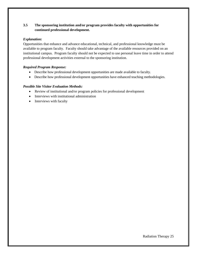# **3.5 The sponsoring institution and/or program provides faculty with opportunities for continued professional development.**

# *Explanation:*

Opportunities that enhance and advance educational, technical, and professional knowledge must be available to program faculty. Faculty should take advantage of the available resources provided on an institutional campus. Program faculty should not be expected to use personal leave time in order to attend professional development activities external to the sponsoring institution.

# *Required Program Response:*

- Describe how professional development opportunities are made available to faculty.
- Describe how professional development opportunities have enhanced teaching methodologies.

- Review of institutional and/or program policies for professional development
- Interviews with institutional administration
- Interviews with faculty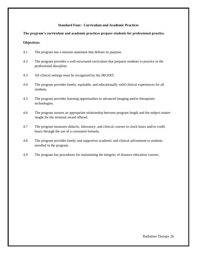## **Standard Four: Curriculum and Academic Practices**

## **The program's curriculum and academic practices prepare students for professional practice.**

#### **Objectives:**

- 4.1 The program has a mission statement that defines its purpose.
- 4.2 The program provides a well-structured curriculum that prepares students to practice in the professional discipline.
- 4.3 All clinical settings must be recognized by the JRCERT.
- 4.4 The program provides timely, equitable, and educationally valid clinical experiences for all students.
- 4.5 The program provides learning opportunities in advanced imaging and/or therapeutic technologies.
- 4.6 The program assures an appropriate relationship between program length and the subject matter taught for the terminal award offered.
- 4.7 The program measures didactic, laboratory, and clinical courses in clock hours and/or credit hours through the use of a consistent formula.
- 4.8 The program provides timely and supportive academic and clinical advisement to students enrolled in the program.
- 4.9 The program has procedures for maintaining the integrity of distance education courses.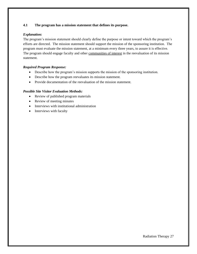# **4.1 The program has a mission statement that defines its purpose.**

## *Explanation:*

The program's mission statement should clearly define the purpose or intent toward which the program's efforts are directed. The mission statement should support the mission of the sponsoring institution. The program must evaluate the mission statement, at a minimum every three years, to assure it is effective. The program should engage faculty and other communities of interest in the reevaluation of its mission statement.

# *Required Program Response:*

- Describe how the program's mission supports the mission of the sponsoring institution.
- Describe how the program reevaluates its mission statement.
- Provide documentation of the reevaluation of the mission statement.

- Review of published program materials
- Review of meeting minutes
- Interviews with institutional administration
- Interviews with faculty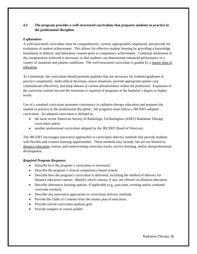# **4.2 The program provides a well-structured curriculum that prepares students to practice in the professional discipline.**

# *Explanation:*

A well-structured curriculum must be comprehensive, current, appropriately sequenced, and provide for evaluation of student achievement. This allows for effective student learning by providing a knowledge foundation in didactic and laboratory courses prior to competency achievement. Continual refinement of the competencies achieved is necessary so that students can demonstrate enhanced performance in a variety of situations and patient conditions. The well-structured curriculum is guided by a master plan of education.

At a minimum, the curriculum should promote qualities that are necessary for students/graduates to practice competently, make ethical decisions, assess situations, provide appropriate patient care, communicate effectively, and keep abreast of current advancements within the profession. Expansion of the curricular content beyond the minimum is required of programs at the bachelor's degree or higher levels.

Use of a standard curriculum promotes consistency in radiation therapy education and prepares the student to practice in the professional discipline. All programs must follow a JRCERT-adopted curriculum. An adopted curriculum is defined as:

- the most recent American Society of Radiologic Technologists (ASRT) Radiation Therapy curriculum and/or
- another professional curriculum adopted by the JRCERT Board of Directors.

The JRCERT encourages innovative approaches to curriculum delivery methods that provide students with flexible and creative learning opportunities. These methods may include, but are not limited to, distance education courses, part-time/evening curricular tracks, service learning, and/or interprofessional development.

#### *Required Program Response:*

- Describe how the program's curriculum is structured.
- Describe the program's clinical competency-based system.
- Describe how the program's curriculum is delivered, including the method of delivery for distance education courses. Identify which courses, if any, are offered via distance education.
- Describe alternative learning options, if applicable (e.g., part-time, evening and/or weekend curricular track(s)).
- Describe any innovative approaches to curriculum delivery methods.
- Provide the Table of Contents from the master plan of education.
- Provide current curriculum analysis grid.
- Provide samples of course syllabi.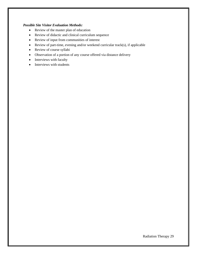- Review of the master plan of education
- Review of didactic and clinical curriculum sequence
- Review of input from communities of interest
- Review of part-time, evening and/or weekend curricular track(s), if applicable
- Review of course syllabi
- Observation of a portion of any course offered via distance delivery
- Interviews with faculty
- Interviews with students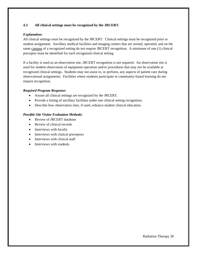## **4.3 All clinical settings must be recognized by the JRCERT.**

## *Explanation:*

All clinical settings must be recognized by the JRCERT. Clinical settings must be recognized prior to student assignment. Ancillary medical facilities and imaging centers that are owned, operated, and on the same campus of a recognized setting do not require JRCERT recognition. A minimum of one (1) clinical preceptor must be identified for each recognized clinical setting.

If a facility is used as an observation site, JRCERT recognition is not required. An observation site is used for student observation of equipment operation and/or procedures that may not be available at recognized clinical settings. Students may not assist in, or perform, any aspects of patient care during observational assignments. Facilities where students participate in community-based learning do not require recognition.

#### *Required Program Response:*

- Assure all clinical settings are recognized by the JRCERT.
- Provide a listing of ancillary facilities under one clinical setting recognition.
- Describe how observation sites, if used, enhance student clinical education.

- Review of JRCERT database
- Review of clinical records
- Interviews with faculty
- Interviews with clinical preceptors
- Interviews with clinical staff
- Interviews with students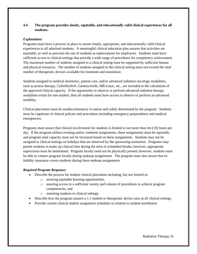# **4.4 The program provides timely, equitable, and educationally valid clinical experiences for all students.**

## *Explanation:*

Programs must have a process in place to assure timely, appropriate, and educationally valid clinical experiences to all admitted students. A meaningful clinical education plan assures that activities are equitable, as well as prevents the use of students as replacements for employees. Students must have sufficient access to clinical settings that provide a wide range of procedures for competency achievement. The maximum number of students assigned to a clinical setting must be supported by sufficient human and physical resources. The number of students assigned to the clinical setting must not exceed the total number of therapeutic devices available for treatment and simulation.

Students assigned to medical dosimetry, patient care, and/or advanced radiation oncology modalities, such as proton therapy, CyberKnife®, Gamma-knife, MR-Linac, etc., are included in the calculation of the approved clinical capacity. If the opportunity to observe or perform advanced radiation therapy modalities exists for one student, then all students must have access to observe or perform an advanced modality.

Clinical placement must be nondiscriminatory in nature and solely determined by the program. Students must be cognizant of clinical policies and procedures including emergency preparedness and medical emergencies.

Programs must assure that clinical involvement for students is limited to not more than ten (10) hours per day. If the program utilizes evening and/or weekend assignments, these assignments must be equitable, and program total capacity must not be increased based on these assignments. Students may not be assigned to clinical settings on holidays that are observed by the sponsoring institution. Programs may permit students to make up clinical time during the term or scheduled breaks; however, appropriate supervision must be maintained. Program faculty need not be physically present; however, students must be able to contact program faculty during makeup assignments. The program must also assure that its liability insurance covers students during these makeup assignments.

#### *Required Program Response:*

- Describe the process for student clinical placement including, but not limited to:
	- o assuring equitable learning opportunities,
	- o assuring access to a sufficient variety and volume of procedures to achieve program competencies, and
	- o orienting students to clinical settings.
- Describe how the program assures a 1:1 student to therapeutic device ratio at all clinical settings.
- Provide current clinical student assignment schedules in relation to student enrollment.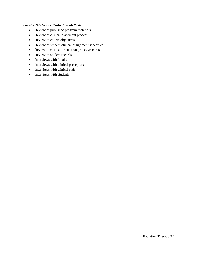- Review of published program materials
- Review of clinical placement process
- Review of course objectives
- Review of student clinical assignment schedules
- Review of clinical orientation process/records
- Review of student records
- Interviews with faculty
- Interviews with clinical preceptors
- Interviews with clinical staff
- Interviews with students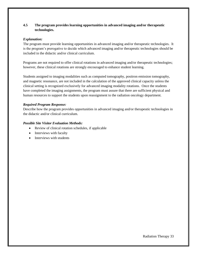# **4.5 The program provides learning opportunities in advanced imaging and/or therapeutic technologies.**

## *Explanation:*

The program must provide learning opportunities in advanced imaging and/or therapeutic technologies. It is the program's prerogative to decide which advanced imaging and/or therapeutic technologies should be included in the didactic and/or clinical curriculum.

Programs are not required to offer clinical rotations in advanced imaging and/or therapeutic technologies; however, these clinical rotations are strongly encouraged to enhance student learning.

Students assigned to imaging modalities such as computed tomography, positron emission tomography, and magnetic resonance, are not included in the calculation of the approved clinical capacity unless the clinical setting is recognized exclusively for advanced imaging modality rotations. Once the students have completed the imaging assignments, the program must assure that there are sufficient physical and human resources to support the students upon reassignment to the radiation oncology department.

## *Required Program Response:*

Describe how the program provides opportunities in advanced imaging and/or therapeutic technologies in the didactic and/or clinical curriculum.

- Review of clinical rotation schedules, if applicable
- Interviews with faculty
- Interviews with students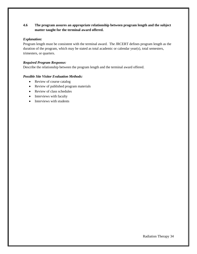# **4.6 The program assures an appropriate relationship between program length and the subject matter taught for the terminal award offered.**

## *Explanation:*

Program length must be consistent with the terminal award. The JRCERT defines program length as the duration of the program, which may be stated as total academic or calendar year(s), total semesters, trimesters, or quarters.

## *Required Program Response:*

Describe the relationship between the program length and the terminal award offered.

- Review of course catalog
- Review of published program materials
- Review of class schedules
- Interviews with faculty
- Interviews with students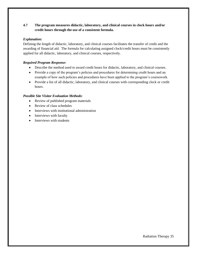# **4.7 The program measures didactic, laboratory, and clinical courses in clock hours and/or credit hours through the use of a consistent formula.**

## *Explanation:*

Defining the length of didactic, laboratory, and clinical courses facilitates the transfer of credit and the awarding of financial aid. The formula for calculating assigned clock/credit hours must be consistently applied for all didactic, laboratory, and clinical courses, respectively.

## *Required Program Response:*

- Describe the method used to award credit hours for didactic, laboratory, and clinical courses.
- Provide a copy of the program's policies and procedures for determining credit hours and an example of how such policies and procedures have been applied to the program's coursework.
- Provide a list of all didactic, laboratory, and clinical courses with corresponding clock or credit hours.

- Review of published program materials
- Review of class schedules
- Interviews with institutional administration
- Interviews with faculty
- Interviews with students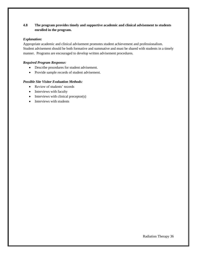# **4.8 The program provides timely and supportive academic and clinical advisement to students enrolled in the program.**

## *Explanation:*

Appropriate academic and clinical advisement promotes student achievement and professionalism. Student advisement should be both formative and summative and must be shared with students in a timely manner. Programs are encouraged to develop written advisement procedures.

# *Required Program Response:*

- Describe procedures for student advisement.
- Provide sample records of student advisement.

- Review of students' records
- Interviews with faculty
- Interviews with clinical preceptor(s)
- Interviews with students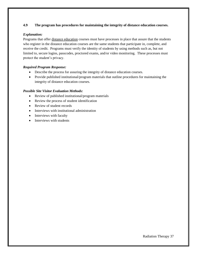# **4.9 The program has procedures for maintaining the integrity of distance education courses.**

## *Explanation:*

Programs that offer distance education courses must have processes in place that assure that the students who register in the distance education courses are the same students that participate in, complete, and receive the credit. Programs must verify the identity of students by using methods such as, but not limited to, secure logins, passcodes, proctored exams, and/or video monitoring.These processes must protect the student's privacy.

# *Required Program Response:*

- Describe the process for assuring the integrity of distance education courses.
- Provide published institutional/program materials that outline procedures for maintaining the integrity of distance education courses.

- Review of published institutional/program materials
- Review the process of student identification
- Review of student records
- Interviews with institutional administration
- Interviews with faculty
- Interviews with students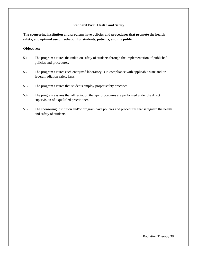#### **Standard Five: Health and Safety**

**The sponsoring institution and program have policies and procedures that promote the health, safety, and optimal use of radiation for students, patients, and the public.** 

#### **Objectives:**

- 5.1 The program assures the radiation safety of students through the implementation of published policies and procedures.
- 5.2 The program assures each energized laboratory is in compliance with applicable state and/or federal radiation safety laws.
- 5.3 The program assures that students employ proper safety practices.
- 5.4 The program assures that all radiation therapy procedures are performed under the direct supervision of a qualified practitioner.
- 5.5 The sponsoring institution and/or program have policies and procedures that safeguard the health and safety of students.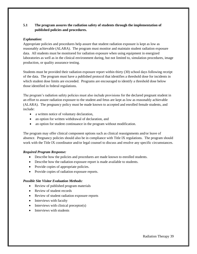# **5.1 The program assures the radiation safety of students through the implementation of published policies and procedures.**

## *Explanation:*

Appropriate policies and procedures help assure that student radiation exposure is kept as low as reasonably achievable (ALARA). The program must monitor and maintain student radiation exposure data. All students must be monitored for radiation exposure when using equipment in energized laboratories as well as in the clinical environment during, but not limited to, simulation procedures, image production, or quality assurance testing.

Students must be provided their radiation exposure report within thirty (30) school days following receipt of the data. The program must have a published protocol that identifies a threshold dose for incidents in which student dose limits are exceeded. Programs are encouraged to identify a threshold dose below those identified in federal regulations.

The program's radiation safety policies must also include provisions for the declared pregnant student in an effort to assure radiation exposure to the student and fetus are kept as low as reasonably achievable (ALARA). The pregnancy policy must be made known to accepted and enrolled female students, and include:

- a written notice of voluntary declaration,
- an option for written withdrawal of declaration, and
- an option for student continuance in the program without modification.

The program may offer clinical component options such as clinical reassignments and/or leave of absence. Pregnancy policies should also be in compliance with Title IX regulations. The program should work with the Title IX coordinator and/or legal counsel to discuss and resolve any specific circumstances.

#### *Required Program Response:*

- Describe how the policies and procedures are made known to enrolled students.
- Describe how the radiation exposure report is made available to students.
- Provide copies of appropriate policies.
- Provide copies of radiation exposure reports.

- Review of published program materials
- Review of student records
- Review of student radiation exposure reports
- Interviews with faculty
- Interviews with clinical preceptor(s)
- Interviews with students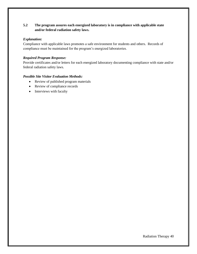# **5.2 The program assures each energized laboratory is in compliance with applicable state and/or federal radiation safety laws.**

## *Explanation:*

Compliance with applicable laws promotes a safe environment for students and others. Records of compliance must be maintained for the program's energized laboratories.

## *Required Program Response:*

Provide certificates and/or letters for each energized laboratory documenting compliance with state and/or federal radiation safety laws.

- Review of published program materials
- Review of compliance records
- Interviews with faculty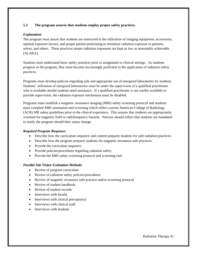# **5.3 The program assures that students employ proper safety practices.**

## *Explanation:*

The program must assure that students are instructed in the utilization of imaging equipment, accessories, optimal exposure factors, and proper patient positioning to minimize radiation exposure to patients, selves, and others. These practices assure radiation exposures are kept as low as reasonably achievable (ALARA).

Students must understand basic safety practices prior to assignment to clinical settings. As students progress in the program, they must become increasingly proficient in the application of radiation safety practices.

Programs must develop policies regarding safe and appropriate use of energized laboratories by students. Students' utilization of energized laboratories must be under the supervision of a qualified practitioner who is available should students need assistance. If a qualified practitioner is not readily available to provide supervision, the radiation exposure mechanism must be disabled.

Programs must establish a magnetic resonance imaging (MRI) safety screening protocol and students must complete MRI orientation and screening which reflect current American College of Radiology (ACR) MR safety guidelines prior to the clinical experience. This assures that students are appropriately screened for magnetic field or radiofrequency hazards. Policies should reflect that students are mandated to notify the program should their status change.

#### *Required Program Response:*

- Describe how the curriculum sequence and content prepares students for safe radiation practices.
- Describe how the program prepares students for magnetic resonance safe practices.
- Provide the curriculum sequence.
- Provide policies/procedures regarding radiation safety.
- Provide the MRI safety screening protocol and screening tool.

- Review of program curriculum
- Review of radiation safety policies/procedures
- Review of magnetic resonance safe practice and/or screening protocol
- Review of student handbook
- Review of student records
- Interviews with faculty
- Interviews with clinical preceptor(s)
- Interviews with clinical staff
- Interviews with students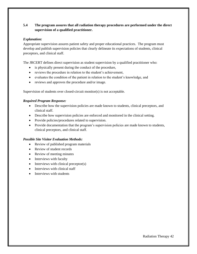# **5.4 The program assures that all radiation therapy procedures are performed under the direct supervision of a qualified practitioner.**

## *Explanation:*

Appropriate supervision assures patient safety and proper educational practices. The program must develop and publish supervision policies that clearly delineate its expectations of students, clinical preceptors, and clinical staff.

The JRCERT defines direct supervision as student supervision by a qualified practitioner who:

- is physically present during the conduct of the procedure,
- reviews the procedure in relation to the student's achievement,
- evaluates the condition of the patient in relation to the student's knowledge, and
- reviews and approves the procedure and/or image.

Supervision of students over closed-circuit monitor(s) is not acceptable.

#### *Required Program Response:*

- Describe how the supervision policies are made known to students, clinical preceptors, and clinical staff.
- Describe how supervision policies are enforced and monitored in the clinical setting.
- Provide policies/procedures related to supervision.
- Provide documentation that the program's supervision policies are made known to students, clinical preceptors, and clinical staff.

- Review of published program materials
- Review of student records
- Review of meeting minutes
- Interviews with faculty
- Interviews with clinical preceptor(s)
- Interviews with clinical staff
- Interviews with students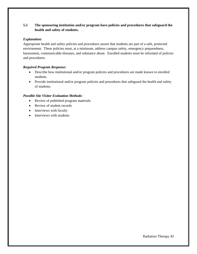# **5.5 The sponsoring institution and/or program have policies and procedures that safeguard the health and safety of students.**

## *Explanation:*

Appropriate health and safety policies and procedures assure that students are part of a safe, protected environment. These policies must, at a minimum, address campus safety, emergency preparedness, harassment, communicable diseases, and substance abuse. Enrolled students must be informed of policies and procedures.

# *Required Program Response:*

- Describe how institutional and/or program policies and procedures are made known to enrolled students.
- Provide institutional and/or program policies and procedures that safeguard the health and safety of students.

- Review of published program materials
- Review of student records
- Interviews with faculty
- Interviews with students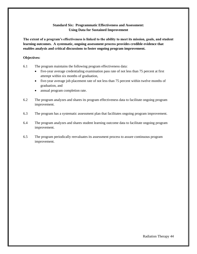# **Standard Six: Programmatic Effectiveness and Assessment: Using Data for Sustained Improvement**

**The extent of a program's effectiveness is linked to the ability to meet its mission, goals, and student learning outcomes. A systematic, ongoing assessment process provides credible evidence that enables analysis and critical discussions to foster ongoing program improvement.** 

#### **Objectives:**

- 6.1 The program maintains the following program effectiveness data:
	- five-year average credentialing examination pass rate of not less than 75 percent at first attempt within six months of graduation,
	- five-year average job placement rate of not less than 75 percent within twelve months of graduation, and
	- annual program completion rate.
- 6.2 The program analyzes and shares its program effectiveness data to facilitate ongoing program improvement.
- 6.3 The program has a systematic assessment plan that facilitates ongoing program improvement.
- 6.4 The program analyzes and shares student learning outcome data to facilitate ongoing program improvement.
- 6.5 The program periodically reevaluates its assessment process to assure continuous program improvement.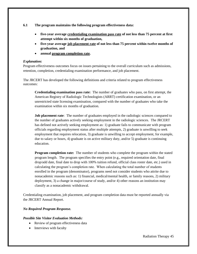**6.1 The program maintains the following program effectiveness data:** 

- **five-year average credentialing examination pass rate of not less than 75 percent at first attempt within six months of graduation,**
- **five-year average job placement rate of not less than 75 percent within twelve months of graduation, and**
- **annual program completion rate.**

#### *Explanation:*

Program effectiveness outcomes focus on issues pertaining to the overall curriculum such as admissions, retention, completion, credentialing examination performance, and job placement.

The JRCERT has developed the following definitions and criteria related to program effectiveness outcomes:

**Credentialing examination pass rate:** The number of graduates who pass, on first attempt, the American Registry of Radiologic Technologists (ARRT) certification examination, or an unrestricted state licensing examination, compared with the number of graduates who take the examination within six months of graduation.

**Job placement rate**: The number of graduates employed in the radiologic sciences compared to the number of graduates actively seeking employment in the radiologic sciences. The JRCERT has defined not actively seeking employment as: 1) graduate fails to communicate with program officials regarding employment status after multiple attempts, 2) graduate is unwilling to seek employment that requires relocation, 3) graduate is unwilling to accept employment, for example, due to salary or hours, 4) graduate is on active military duty, and/or 5) graduate is continuing education.

**Program completion rate:** The number of students who complete the program within the stated program length. The program specifies the entry point  $(e.g., required orientation date, final)$ drop/add date, final date to drop with 100% tuition refund, official class roster date, etc.) used in calculating the program's completion rate. When calculating the total number of students enrolled in the program (denominator), programs need not consider students who attrite due to nonacademic reasons such as: 1) financial, medical/mental health, or family reasons, 2) military deployment, 3) a change in major/course of study, and/or 4) other reasons an institution may classify as a nonacademic withdrawal.

Credentialing examination, job placement, and program completion data must be reported annually via the JRCERT Annual Report.

# *No Required Program Response.*

- Review of program effectiveness data
- Interviews with faculty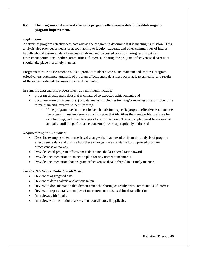# **6.2 The program analyzes and shares its program effectiveness data to facilitate ongoing program improvement.**

## *Explanation:*

Analysis of program effectiveness data allows the program to determine if it is meeting its mission. This analysis also provides a means of accountability to faculty, students, and other communities of interest. Faculty should assure all data have been analyzed and discussed prior to sharing results with an assessment committee or other communities of interest. Sharing the program effectiveness data results should take place in a timely manner.

Programs must use assessment results to promote student success and maintain and improve program effectiveness outcomes. Analysis of program effectiveness data must occur at least annually, and results of the evidence-based decisions must be documented.

In sum, the data analysis process must, at a minimum, include:

- program effectiveness data that is compared to expected achievement; and
- documentation of discussion(s) of data analysis including trending/comparing of results over time to maintain and improve student learning.
	- o If the program does not meet its benchmark for a specific program effectiveness outcome, the program must implement an action plan that identifies the issue/problem, allows for data trending, and identifies areas for improvement. The action plan must be reassessed annually until the performance concern(s) is/are appropriately addressed.

#### *Required Program Response:*

- Describe examples of evidence-based changes that have resulted from the analysis of program effectiveness data and discuss how these changes have maintained or improved program effectiveness outcomes.
- Provide actual program effectiveness data since the last accreditation award.
- Provide documentation of an action plan for any unmet benchmarks.
- Provide documentation that program effectiveness data is shared in a timely manner.

- Review of aggregated data
- Review of data analysis and actions taken
- Review of documentation that demonstrates the sharing of results with communities of interest
- Review of representative samples of measurement tools used for data collection
- Interviews with faculty
- Interview with institutional assessment coordinator, if applicable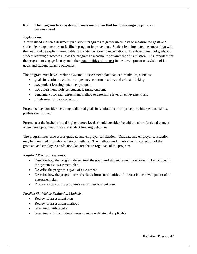## **6.3 The program has a systematic assessment plan that facilitates ongoing program improvement.**

## *Explanation:*

A formalized written assessment plan allows programs to gather useful data to measure the goals and student learning outcomes to facilitate program improvement. Student learning outcomes must align with the goals and be explicit, measurable, and state the learning expectations. The development of goals and student learning outcomes allows the program to measure the attainment of its mission. It is important for the program to engage faculty and other communities of interest in the development or revision of its goals and student learning outcomes.

The program must have a written systematic assessment plan that, at a minimum, contains:

- goals in relation to clinical competency, communication, and critical thinking;
- two student learning outcomes per goal;
- two assessment tools per student learning outcome;
- benchmarks for each assessment method to determine level of achievement; and
- timeframes for data collection.

Programs may consider including additional goals in relation to ethical principles, interpersonal skills, professionalism, etc.

Programs at the bachelor's and higher degree levels should consider the additional professional content when developing their goals and student learning outcomes.

The program must also assess graduate and employer satisfaction. Graduate and employer satisfaction may be measured through a variety of methods. The methods and timeframes for collection of the graduate and employer satisfaction data are the prerogatives of the program.

# *Required Program Response:*

- Describe how the program determined the goals and student learning outcomes to be included in the systematic assessment plan.
- Describe the program's cycle of assessment.
- Describe how the program uses feedback from communities of interest in the development of its assessment plan.
- Provide a copy of the program's current assessment plan.

- Review of assessment plan
- Review of assessment methods
- Interviews with faculty
- Interview with institutional assessment coordinator, if applicable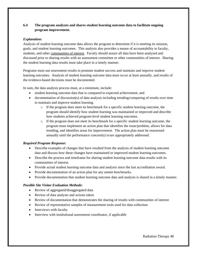# **6.4 The program analyzes and shares student learning outcome data to facilitate ongoing program improvement.**

## *Explanation:*

Analysis of student learning outcome data allows the program to determine if it is meeting its mission, goals, and student learning outcomes. This analysis also provides a means of accountability to faculty, students, and other communities of interest. Faculty should assure all data have been analyzed and discussed prior to sharing results with an assessment committee or other communities of interest. Sharing the student learning data results must take place in a timely manner.

Programs must use assessment results to promote student success and maintain and improve student learning outcomes. Analysis of student learning outcome data must occur at least annually, and results of the evidence-based decisions must be documented.

In sum, the data analysis process must, at a minimum, include:

- student learning outcome data that is compared to expected achievement; and
- documentation of discussion(s) of data analysis including trending/comparing of results over time to maintain and improve student learning.
	- $\circ$  If the program does meet its benchmark for a specific student learning outcome, the program should identify how student learning was maintained or improved and describe how students achieved program-level student learning outcomes.
	- o If the program does not meet its benchmark for a specific student learning outcome, the program must implement an action plan that identifies the issue/problem, allows for data trending, and identifies areas for improvement. The action plan must be reassessed annually until the performance concern(s) is/are appropriately addressed.

# *Required Program Response:*

- Describe examples of changes that have resulted from the analysis of student learning outcome data and discuss how these changes have maintained or improved student learning outcomes.
- Describe the process and timeframe for sharing student learning outcome data results with its communities of interest.
- Provide actual student learning outcome data and analysis since the last accreditation award.
- Provide documentation of an action plan for any unmet benchmarks.
- Provide documentation that student learning outcome data and analysis is shared in a timely manner.

- Review of aggregated/disaggregated data
- Review of data analysis and actions taken
- Review of documentation that demonstrates the sharing of results with communities of interest
- Review of representative samples of measurement tools used for data collection
- Interviews with faculty
- Interview with institutional assessment coordinator, if applicable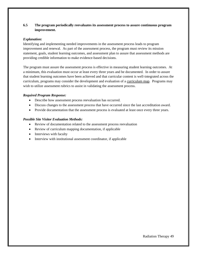# **6.5 The program periodically reevaluates its assessment process to assure continuous program improvement.**

#### *Explanation:*

Identifying and implementing needed improvements in the assessment process leads to program improvement and renewal. As part of the assessment process, the program must review its mission statement, goals, student learning outcomes, and assessment plan to assure that assessment methods are providing credible information to make evidence-based decisions.

The program must assure the assessment process is effective in measuring student learning outcomes. At a minimum, this evaluation must occur at least every three years and be documented. In order to assure that student learning outcomes have been achieved and that curricular content is well-integrated across the curriculum, programs may consider the development and evaluation of a curriculum map. Programs may wish to utilize assessment rubrics to assist in validating the assessment process.

## *Required Program Response:*

- Describe how assessment process reevaluation has occurred.
- Discuss changes to the assessment process that have occurred since the last accreditation award.
- Provide documentation that the assessment process is evaluated at least once every three years.

- Review of documentation related to the assessment process reevaluation
- Review of curriculum mapping documentation, if applicable
- Interviews with faculty
- Interview with institutional assessment coordinator, if applicable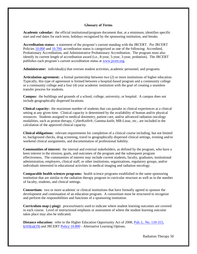#### **Glossary of Terms**

**Academic calendar:** the official institutional/program document that, at a minimum, identifies specific start and end dates for each term, holidays recognized by the sponsoring institution, and breaks.

**Accreditation status:** a statement of the program's current standing with the JRCERT. Per JRCERT Policies [10.000](https://www.jrcert.org/resources/governance/accreditation-policies/10-000/) and [10.700,](https://www.jrcert.org/resources/governance/accreditation-policies/10-700/) accreditation status is categorized as one of the following: Accredited, Probationary Accreditation, and Administrative Probationary Accreditation. The program must also identify its current length of accreditation award (i.e., 8-year, 5-year, 3-year, probation). The JRCERT publishes each program's current accreditation status at [www.jrcert.org.](http://www.jrcert.org/)

**Administrator:** individual(s) that oversee student activities, academic personnel, and programs.

**Articulation agreement:** a formal partnership between two (2) or more institutions of higher education. Typically, this type of agreement is formed between a hospital-based program and a community college or a community college and a four (4) year academic institution with the goal of creating a seamless transfer process for students.

**Campus:** the buildings and grounds of a school, college, university, or hospital. A campus does not include geographically dispersed locations.

**Clinical capacity:** the maximum number of students that can partake in clinical experiences at a clinical setting at any given time. Clinical capacity is determined by the availability of human and/or physical resources. Students assigned to medical dosimetry, patient care, and/or advanced radiation oncology modalities, such as proton therapy, CyberKnife®, Gamma-knife, MR-Linac, etc., are included in the calculation of the approved clinical capacity.

**Clinical obligations:** relevant requirements for completion of a clinical course including, but not limited to, background checks, drug screening, travel to geographically dispersed clinical settings, evening and/or weekend clinical assignments, and documentation of professional liability.

**Communities of interest:** the internal and external stakeholders, as defined by the program, who have a keen interest in the mission, goals, and outcomes of the program and the subsequent program effectiveness. The communities of interest may include current students, faculty, graduates, institutional administration, employers, clinical staff, or other institutions, organizations, regulatory groups, and/or individuals interested in educational activities in medical imaging and radiation oncology.

**Comparable health sciences programs:** health science programs established in the same sponsoring institution that are similar to the radiation therapy program in curricular structure as well as in the number of faculty, students, and clinical settings.

**Consortium:** two or more academic or clinical institutions that have formally agreed to sponsor the development and continuation of an education program. A consortium must be structured to recognize and perform the responsibilities and functions of a sponsoring institution.

**Curriculum map (-ping):** process**/**matrix used to indicate where student learning outcomes are covered in each course. Level of instructional emphasis or assessment of where the student learning outcome takes place may also be indicated.

**Distance education:** refer to the Higher Education Opportunity Act of 2008, [Pub. L. No. 110-315,](https://www.gpo.gov/fdsys/pkg/PLAW-110publ315/content-detail.html)  [§103\(a\)\(19\)](https://www.gpo.gov/fdsys/pkg/PLAW-110publ315/content-detail.html) and JRCERT [Policy 10.800](https://www.jrcert.org/resources/governance/accreditation-policies/10-800/) - Alternative Learning Options.

Radiation Therapy 50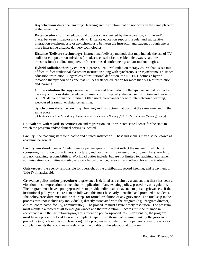**Asynchronous distance learning:** learning and instruction that do not occur in the same place or at the same time.

**Distance education:** an educational process characterized by the separation, in time and/or place, between instructor and student. Distance education supports regular and substantive interaction synchronously or asynchronously between the instructor and student through one or more interactive distance delivery technologies.

**Distance (Delivery) technology:** instructional/delivery methods that may include the use of TV, audio, or computer transmissions (broadcast, closed-circuit, cable, microwave, satellite transmissions); audio, computer, or Internet-based conferencing; and/or methodologies.

**Hybrid radiation therapy course:** a professional level radiation therapy course that uses a mix of face-to-face traditional classroom instruction along with synchronous or asynchronous distance education instruction. Regardless of institutional definition, the JRCERT defines a hybrid radiation therapy course as one that utilizes distance education for more than 50% of instruction and learning.

**Online radiation therapy course:** a professional level radiation therapy course that primarily uses asynchronous distance education instruction. Typically, the course instruction and learning is 100% delivered via the Internet. Often used interchangeably with Internet-based learning, web-based learning, or distance learning.

**Synchronous distance learning:** learning and instruction that occur at the same time and in the same place.

[Definitions based on Accrediting Commission of Education in Nursing (ACEN) Accreditation Manual glossary]

**Equivalent:** with regards to certification and registration, an unrestricted state license for the state in which the program and/or clinical setting is located.

Faculty: the teaching staff for didactic and clinical instruction. These individuals may also be known as academic personnel.

**Faculty workload**: contact/credit hours or percentages of time that reflect the manner in which the sponsoring institution characterizes, structures, and documents the nature of faculty members' teaching and non-teaching responsibilities. Workload duties include, but are not limited to, teaching, advisement, administration, committee activity, service, clinical practice, research, and other scholarly activities.

**Gatekeeper:** the agency responsible for oversight of the distribution, record keeping, and repayment of Title IV financial aid.

**Grievance policy and/or procedure:** a grievance is defined as a claim by a student that there has been a violation, misinterpretation, or inequitable application of any existing policy, procedure, or regulation. The program must have a policy/procedure to provide individuals an avenue to pursue grievances. If the institutional policy/procedure is to be followed, this must be clearly identified and provided to students. The policy/procedure must outline the steps for formal resolution of any grievance. The final step in the process must not include any individual(s) directly associated with the program (e.g., program director, clinical coordinator, faculty, administrator). The procedure must assure timely resolution. The program must maintain a record of all formal grievances and their resolution. Records must be retained in accordance with the institution's/program's retention policies/procedures. Additionally, the program must have a procedure to address any complaints apart from those that require invoking the grievance procedure (e.g., cleanliness of classroom). The program must determine if a pattern of any grievance or complaint exists that could negatively affect the quality of the educational program.

Radiation Therapy 51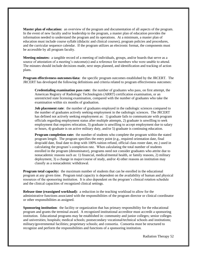**Master plan of education:** an overview of the program and documentation of all aspects of the program. In the event of new faculty and/or leadership to the program, a master plan of education provides the information needed to understand the program and its operations. At a minimum, a master plan of education must include course syllabi (didactic and clinical courses), program policies and procedures, and the curricular sequence calendar. If the program utilizes an electronic format, the components must be accessible by all program faculty.

**Meeting minutes:** a tangible record of a meeting of individuals, groups, and/or boards that serve as a source of attestation of a meeting's outcome(s) and a reference for members who were unable to attend. The minutes should include decisions made, next steps planned, and identification and tracking of action plans.

**Program effectiveness outcomes/data:** the specific program outcomes established by the JRCERT. The JRCERT has developed the following definitions and criteria related to program effectiveness outcomes:

**Credentialing examination pass rate:** the number of graduates who pass, on first attempt, the American Registry of Radiologic Technologists (ARRT) certification examination, or an unrestricted state licensing examination, compared with the number of graduates who take the examination within six months of graduation.

**Job placement rate**: the number of graduates employed in the radiologic sciences compared to the number of graduates actively seeking employment in the radiologic sciences. The JRCERT has defined not actively seeking employment as: 1) graduate fails to communicate with program officials regarding employment status after multiple attempts, 2) graduate is unwilling to seek employment that requires relocation, 3) graduate is unwilling to accept employment due to salary or hours, 4) graduate is on active military duty, and/or 5) graduate is continuing education.

**Program completion rate:** the number of students who complete the program within the stated program length. The program specifies the entry point  $(e.g., required orientation date, final)$ drop/add date, final date to drop with 100% tuition refund, official class roster date, etc.) used in calculating the program's completion rate. When calculating the total number of students enrolled in the program (denominator), programs need not consider graduates who attrite due to nonacademic reasons such as: 1) financial, medical/mental health, or family reasons, 2) military deployment, 3) a change in major/course of study, and/or 4) other reasons an institution may classify as a nonacademic withdrawal.

**Program total capacity:** the maximum number of students that can be enrolled in the educational program at any given time. Program total capacity is dependent on the availability of human and physical resources of the sponsoring institution. It is also dependent on the program's clinical rotation schedule and the clinical capacities of recognized clinical settings.

**Release time (reassigned workload):** a reduction in the teaching workload to allow for the administrative functions associated with the responsibilities of the program director or clinical coordinator or other responsibilities as assigned.

**Sponsoring institution**: the facility or organization that has primary responsibility for the educational program and grants the terminal award. A recognized institutional accreditor must accredit a sponsoring institution. Educational programs may be established in: community and junior colleges; senior colleges and universities; hospitals; medical schools; postsecondary vocational/technical schools and institutions; military/governmental facilities; proprietary schools; and consortia. Consortia must be structured to recognize and perform the responsibilities and functions of a sponsoring institution.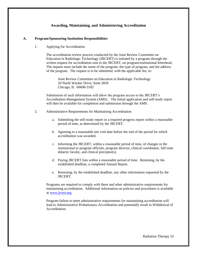# **Awarding, Maintaining, and Administering Accreditation**

#### **A. Program/Sponsoring Institution Responsibilities**

1. Applying for Accreditation

The accreditation review process conducted by the Joint Review Committee on Education in Radiologic Technology (JRCERT) is initiated by a program through the written request for accreditation sent to the JRCERT, on program/institutional letterhead. The request must include the name of the program, the type of program, and the address of the program. The request is to be submitted, with the applicable fee, to:

Joint Review Committee on Education in Radiologic Technology 20 North Wacker Drive, Suite 2850 Chicago, IL 60606-3182

Submission of such information will allow the program access to the JRCERT's Accreditation Management System (AMS). The initial application and self-study report will then be available for completion and submission through the AMS.

- 2. Administrative Requirements for Maintaining Accreditation
	- a. Submitting the self-study report or a required progress report within a reasonable period of time, as determined by the JRCERT.
	- b. Agreeing to a reasonable site visit date before the end of the period for which accreditation was awarded.
	- c. Informing the JRCERT, within a reasonable period of time, of changes in the institutional or program officials, program director, clinical coordinator, full-time didactic faculty, and clinical preceptor(s).
	- d. Paying JRCERT fees within a reasonable period of time. Returning, by the established deadline, a completed Annual Report.
	- e. Returning, by the established deadline, any other information requested by the JRCERT.

Programs are required to comply with these and other administrative requirements for maintaining accreditation. Additional information on policies and procedures is available at [www.jrcert.org.](http://www.jrcert.org/)

Program failure to meet administrative requirements for maintaining accreditation will lead to Administrative Probationary Accreditation and potentially result in Withdrawal of Accreditation.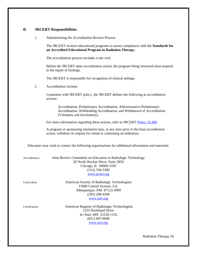# **B. JRCERT Responsibilities**

1. Administering the Accreditation Review Process

|                | The JRCERT reviews educational programs to assess compliance with the Standards for<br>an Accredited Educational Program in Radiation Therapy.                                      |
|----------------|-------------------------------------------------------------------------------------------------------------------------------------------------------------------------------------|
|                | The accreditation process includes a site visit.                                                                                                                                    |
|                | Before the JRCERT takes accreditation action, the program being reviewed must respond<br>to the report of findings.                                                                 |
|                | The JRCERT is responsible for recognition of clinical settings.                                                                                                                     |
| 2.             | <b>Accreditation Actions</b>                                                                                                                                                        |
|                | Consistent with JRCERT policy, the JRCERT defines the following as accreditation<br>actions:                                                                                        |
|                | Accreditation, Probationary Accreditation, Administrative Probationary<br>Accreditation, Withholding Accreditation, and Withdrawal of Accreditation<br>(Voluntary and Involuntary). |
|                | For more information regarding these actions, refer to JRCERT Policy 10.200.                                                                                                        |
|                | A program or sponsoring institution may, at any time prior to the final accreditation<br>action, withdraw its request for initial or continuing accreditation.                      |
|                | Educators may wish to contact the following organizations for additional information and materials:                                                                                 |
| Accreditation: | Joint Review Committee on Education in Radiologic Technology<br>20 North Wacker Drive, Suite 2850<br>Chicago, IL 60606-3182<br>$(312)$ 704-5300<br>www.jrcert.org                   |
| Curriculum:    | American Society of Radiologic Technologists<br>15000 Central Avenue, S.E.<br>Albuquerque, NM 87123-3909<br>$(505)$ 298-4500<br>www.asrt.org                                        |
| Certification: | American Registry of Radiologic Technologists<br>1255 Northland Drive<br>St. Paul, MN 55120-1155<br>$(651) 687 - 0048$                                                              |

[www.arrt.org](http://www.arrt.org/)